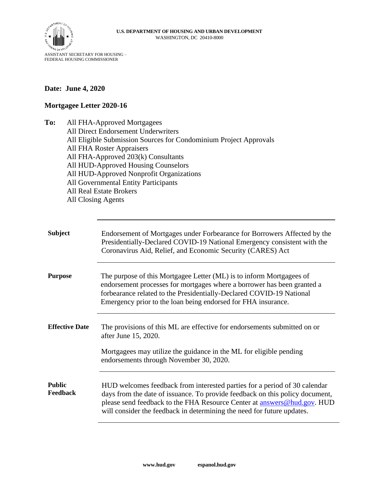

#### **Date: June 4, 2020**

#### **Mortgagee Letter 2020-16**

**To:** All FHA-Approved Mortgagees All Direct Endorsement Underwriters All Eligible Submission Sources for Condominium Project Approvals All FHA Roster Appraisers All FHA-Approved 203(k) Consultants All HUD-Approved Housing Counselors All HUD-Approved Nonprofit Organizations All Governmental Entity Participants All Real Estate Brokers All Closing Agents

| <b>Subject</b>            | Endorsement of Mortgages under Forbearance for Borrowers Affected by the<br>Presidentially-Declared COVID-19 National Emergency consistent with the<br>Coronavirus Aid, Relief, and Economic Security (CARES) Act                                                                                              |
|---------------------------|----------------------------------------------------------------------------------------------------------------------------------------------------------------------------------------------------------------------------------------------------------------------------------------------------------------|
| <b>Purpose</b>            | The purpose of this Mortgagee Letter (ML) is to inform Mortgagees of<br>endorsement processes for mortgages where a borrower has been granted a<br>forbearance related to the Presidentially-Declared COVID-19 National<br>Emergency prior to the loan being endorsed for FHA insurance.                       |
| <b>Effective Date</b>     | The provisions of this ML are effective for endorsements submitted on or<br>after June 15, 2020.                                                                                                                                                                                                               |
|                           | Mortgagees may utilize the guidance in the ML for eligible pending<br>endorsements through November 30, 2020.                                                                                                                                                                                                  |
| Public<br><b>Feedback</b> | HUD welcomes feedback from interested parties for a period of 30 calendar<br>days from the date of issuance. To provide feedback on this policy document,<br>please send feedback to the FHA Resource Center at answers@hud.gov. HUD<br>will consider the feedback in determining the need for future updates. |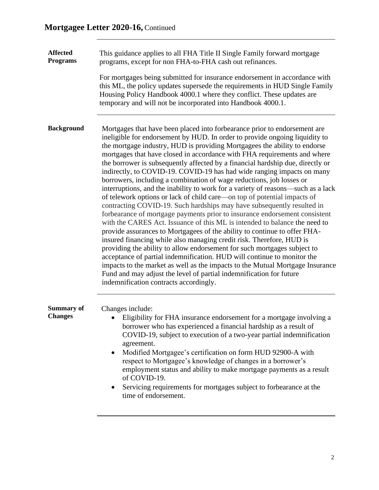# **Mortgagee Letter 2020-16,** Continued

| <b>Affected</b><br><b>Programs</b>  | This guidance applies to all FHA Title II Single Family forward mortgage<br>programs, except for non FHA-to-FHA cash out refinances.                                                                                                                                                                                                                                                                                                                                                                                                                                                                                                                                                                                                                                                                                                                                                                                                                                                                                                                                                                                                                                                                                                                                                                                                                                                                                                                                      |
|-------------------------------------|---------------------------------------------------------------------------------------------------------------------------------------------------------------------------------------------------------------------------------------------------------------------------------------------------------------------------------------------------------------------------------------------------------------------------------------------------------------------------------------------------------------------------------------------------------------------------------------------------------------------------------------------------------------------------------------------------------------------------------------------------------------------------------------------------------------------------------------------------------------------------------------------------------------------------------------------------------------------------------------------------------------------------------------------------------------------------------------------------------------------------------------------------------------------------------------------------------------------------------------------------------------------------------------------------------------------------------------------------------------------------------------------------------------------------------------------------------------------------|
|                                     | For mortgages being submitted for insurance endorsement in accordance with<br>this ML, the policy updates supersede the requirements in HUD Single Family<br>Housing Policy Handbook 4000.1 where they conflict. These updates are<br>temporary and will not be incorporated into Handbook 4000.1.                                                                                                                                                                                                                                                                                                                                                                                                                                                                                                                                                                                                                                                                                                                                                                                                                                                                                                                                                                                                                                                                                                                                                                        |
| <b>Background</b>                   | Mortgages that have been placed into forbearance prior to endorsement are<br>ineligible for endorsement by HUD. In order to provide ongoing liquidity to<br>the mortgage industry, HUD is providing Mortgagees the ability to endorse<br>mortgages that have closed in accordance with FHA requirements and where<br>the borrower is subsequently affected by a financial hardship due, directly or<br>indirectly, to COVID-19. COVID-19 has had wide ranging impacts on many<br>borrowers, including a combination of wage reductions, job losses or<br>interruptions, and the inability to work for a variety of reasons-such as a lack<br>of telework options or lack of child care—on top of potential impacts of<br>contracting COVID-19. Such hardships may have subsequently resulted in<br>forbearance of mortgage payments prior to insurance endorsement consistent<br>with the CARES Act. Issuance of this ML is intended to balance the need to<br>provide assurances to Mortgagees of the ability to continue to offer FHA-<br>insured financing while also managing credit risk. Therefore, HUD is<br>providing the ability to allow endorsement for such mortgages subject to<br>acceptance of partial indemnification. HUD will continue to monitor the<br>impacts to the market as well as the impacts to the Mutual Mortgage Insurance<br>Fund and may adjust the level of partial indemnification for future<br>indemnification contracts accordingly. |
| <b>Summary of</b><br><b>Changes</b> | Changes include:<br>Eligibility for FHA insurance endorsement for a mortgage involving a<br>borrower who has experienced a financial hardship as a result of<br>COVID-19, subject to execution of a two-year partial indemnification<br>agreement.<br>Modified Mortgagee's certification on form HUD 92900-A with<br>٠<br>respect to Mortgagee's knowledge of changes in a borrower's<br>employment status and ability to make mortgage payments as a result<br>of COVID-19.<br>Servicing requirements for mortgages subject to forbearance at the<br>time of endorsement.                                                                                                                                                                                                                                                                                                                                                                                                                                                                                                                                                                                                                                                                                                                                                                                                                                                                                                |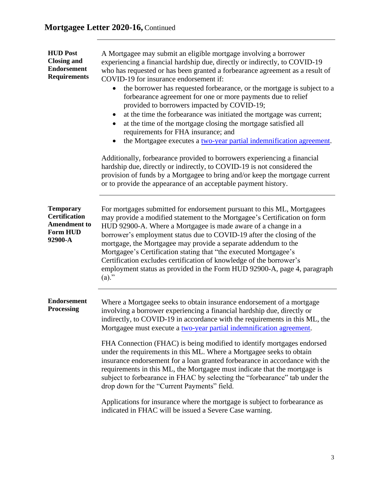| <b>HUD Post</b><br><b>Closing and</b><br><b>Endorsement</b><br><b>Requirements</b>            | A Mortgagee may submit an eligible mortgage involving a borrower<br>experiencing a financial hardship due, directly or indirectly, to COVID-19<br>who has requested or has been granted a forbearance agreement as a result of<br>COVID-19 for insurance endorsement if:<br>the borrower has requested forbearance, or the mortgage is subject to a<br>$\bullet$<br>forbearance agreement for one or more payments due to relief<br>provided to borrowers impacted by COVID-19;<br>at the time the forbearance was initiated the mortgage was current;<br>at the time of the mortgage closing the mortgage satisfied all<br>requirements for FHA insurance; and<br>the Mortgagee executes a two-year partial indemnification agreement.<br>Additionally, forbearance provided to borrowers experiencing a financial<br>hardship due, directly or indirectly, to COVID-19 is not considered the<br>provision of funds by a Mortgagee to bring and/or keep the mortgage current<br>or to provide the appearance of an acceptable payment history. |
|-----------------------------------------------------------------------------------------------|-------------------------------------------------------------------------------------------------------------------------------------------------------------------------------------------------------------------------------------------------------------------------------------------------------------------------------------------------------------------------------------------------------------------------------------------------------------------------------------------------------------------------------------------------------------------------------------------------------------------------------------------------------------------------------------------------------------------------------------------------------------------------------------------------------------------------------------------------------------------------------------------------------------------------------------------------------------------------------------------------------------------------------------------------|
| <b>Temporary</b><br><b>Certification</b><br><b>Amendment to</b><br><b>Form HUD</b><br>92900-A | For mortgages submitted for endorsement pursuant to this ML, Mortgagees<br>may provide a modified statement to the Mortgagee's Certification on form<br>HUD 92900-A. Where a Mortgagee is made aware of a change in a<br>borrower's employment status due to COVID-19 after the closing of the<br>mortgage, the Mortgagee may provide a separate addendum to the<br>Mortgagee's Certification stating that "the executed Mortgagee's<br>Certification excludes certification of knowledge of the borrower's<br>employment status as provided in the Form HUD 92900-A, page 4, paragraph<br>$(a)$ ."                                                                                                                                                                                                                                                                                                                                                                                                                                             |
| <b>Endorsement</b><br>Processing                                                              | Where a Mortgagee seeks to obtain insurance endorsement of a mortgage<br>involving a borrower experiencing a financial hardship due, directly or<br>indirectly, to COVID-19 in accordance with the requirements in this ML, the<br>Mortgagee must execute a two-year partial indemnification agreement.<br>FHA Connection (FHAC) is being modified to identify mortgages endorsed<br>under the requirements in this ML. Where a Mortgagee seeks to obtain<br>insurance endorsement for a loan granted forbearance in accordance with the<br>requirements in this ML, the Mortgagee must indicate that the mortgage is<br>subject to forbearance in FHAC by selecting the "forbearance" tab under the<br>drop down for the "Current Payments" field.<br>Applications for insurance where the mortgage is subject to forbearance as<br>indicated in FHAC will be issued a Severe Case warning.                                                                                                                                                    |